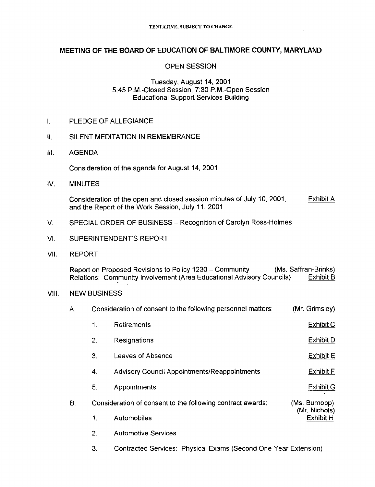### MEETING OF THE BOARD OF EDUCATION OF BALTIMORE COUNTY, MARYLAND

#### OPEN SESSION

#### Tuesday, August 14, 2001 5.45 P.M .-Closed Session, 7:30 P.M .-Open Session Educational Support Services Building

I. PLEDGE OF ALLEGIANCE

#### II. SILENT MEDITATION IN REMEMBRANCE

III. AGENDA

Consideration of the agenda for August 14, 2001

IV. MINUTES

Consideration of the open and closed session minutes of July 10, 2001, Exhibit A and the Report of the Work Session, July 11, 2001

- V. SPECIAL ORDER OF BUSINESS Recognition of Carolyn Ross-Holmes
- VI. SUPERINTENDENT'S REPORT
- VII. REPORT

Report on Proposed Revisions to Policy 1230 – Community (Ms. Saffran-Brinks)<br>Relations: Community Involvement (Area Educational Advisory Councils) Exhibit B Relations: Community Involvement (Area Educational Advisory Councils)

#### VIII. NEW BUSINESS

|  | Consideration of consent to the following personnel matters: | (Mr. Grimsley) |
|--|--------------------------------------------------------------|----------------|
|--|--------------------------------------------------------------|----------------|

|    | 1.                                                         | Retirements                                  | <b>Exhibit C</b>               |
|----|------------------------------------------------------------|----------------------------------------------|--------------------------------|
|    | 2.                                                         | Resignations                                 | <b>Exhibit D</b>               |
|    | З.                                                         | Leaves of Absence                            | Exhibit E                      |
|    | 4.                                                         | Advisory Council Appointments/Reappointments | <b>Exhibit F</b>               |
|    | 5.                                                         | Appointments                                 | <b>Exhibit G</b>               |
| Β. | Consideration of consent to the following contract awards: |                                              | (Ms. Burnopp)<br>(Mr. Nichols) |
|    | 1.                                                         | Automobiles                                  | <b>Exhibit H</b>               |
|    | 2.                                                         | <b>Automotive Services</b>                   |                                |

3. Contracted Services: Physical Exams (Second One-Year Extension)

l,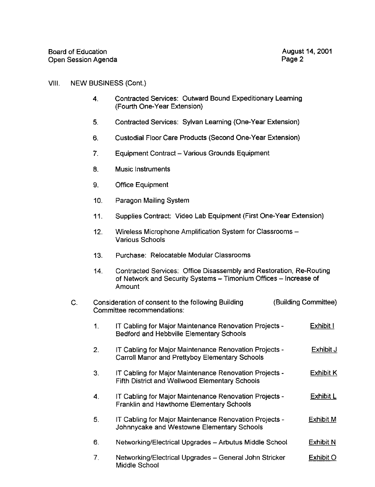#### VIII. NEW BUSINESS (Cont.)

- 4 . Contracted Services: Outward Bound Expeditionary Learning (Fourth One-Year Extension)
- 5. Contracted Services: Sylvan Learning (One-Year Extension)
- 6. Custodial Floor Care Products (Second One-Year Extension)
- 7. Equipment Contract Various Grounds Equipment
- 8. Music Instruments
- 9. Office Equipment
- 10. Paragon Mailing System
- 11 . Supplies Contract: Video Lab Equipment (First One-Year Extension)
- 12. Wireless Microphone Amplification System for Classrooms -Various Schools
- 13. Purchase : Relocatable Modular Classrooms
- 14. Contracted Services: Office Disassembly and Restoration, Re-Routing of Network and Security Systems - Timonium Offices - Increase of Amount

## C. Consideration of consent to the following Building (Building Committee) Committee recommendations:

- <sup>1</sup> . IT Cabling for Major Maintenance Renovation Projects Exhibit <sup>I</sup> Bedford and Hebbville Elementary Schools
- 2 . IT Cabling for Major Maintenance Renovation Projects Exhibit J Carroll Manor and Prettyboy Elementary Schools
- 3 . IT Cabling for Major Maintenance Renovation Projects Exhibit K Fifth District and Wellwood Elementary Schools
- 4. IT Cabling for Major Maintenance Renovation Projects Exhibit L Franklin and Hawthorne Elementary Schools
- 5 . IT Cabling for Major Maintenance Renovation Projects Exhibit M Johnnycake and Westowne Elementary Schools
- 6. Networking/Electrical Upgrades Arbutus Middle School Exhibit N
- 7. Networking/Electrical Upgrades General John Stricker Exhibit O Middle School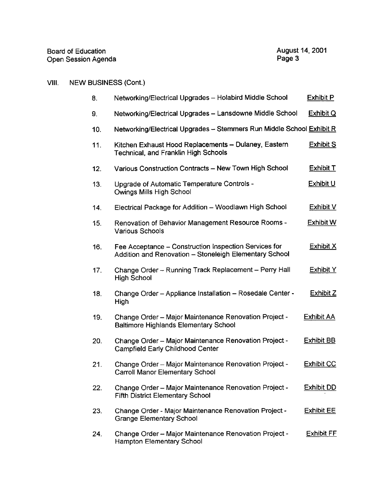# VIII. NEW BUSINESS (Cont.)

| 8.  | Networking/Electrical Upgrades -- Holabird Middle School                                                        | <b>Exhibit P</b>  |
|-----|-----------------------------------------------------------------------------------------------------------------|-------------------|
| 9.  | Networking/Electrical Upgrades - Lansdowne Middle School                                                        | <b>Exhibit Q</b>  |
| 10. | Networking/Electrical Upgrades - Stemmers Run Middle School Exhibit R                                           |                   |
| 11. | Kitchen Exhaust Hood Replacements - Dulaney, Eastern<br>Technical, and Franklin High Schools                    | <b>Exhibit S</b>  |
| 12. | Various Construction Contracts - New Town High School                                                           | <b>Exhibit T</b>  |
| 13. | Upgrade of Automatic Temperature Controls -<br>Owings Mills High School                                         | <b>Exhibit U</b>  |
| 14. | Electrical Package for Addition - Woodlawn High School                                                          | Exhibit V         |
| 15. | Renovation of Behavior Management Resource Rooms -<br><b>Various Schools</b>                                    | <b>Exhibit W</b>  |
| 16. | Fee Acceptance - Construction Inspection Services for<br>Addition and Renovation - Stoneleigh Elementary School | Exhibit X         |
| 17. | Change Order - Running Track Replacement - Perry Hall<br><b>High School</b>                                     | Exhibit Y         |
| 18. | Change Order - Appliance Installation - Rosedale Center -<br>High                                               | Exhibit Z         |
| 19. | Change Order - Major Maintenance Renovation Project -<br><b>Baltimore Highlands Elementary School</b>           | Exhibit AA        |
| 20. | Change Order - Major Maintenance Renovation Project -<br>Campfield Early Childhood Center                       | <b>Exhibit BB</b> |
| 21. | Change Order - Major Maintenance Renovation Project -<br><b>Carroll Manor Elementary School</b>                 | <b>Exhibit CC</b> |
| 22. | Change Order - Major Maintenance Renovation Project -<br><b>Fifth District Elementary School</b>                | <b>Exhibit DD</b> |
| 23. | Change Order - Major Maintenance Renovation Project -<br><b>Grange Elementary School</b>                        | <b>Exhibit EE</b> |
| 24. | Change Order - Major Maintenance Renovation Project -<br>Hampton Elementary School                              | <b>Exhibit FF</b> |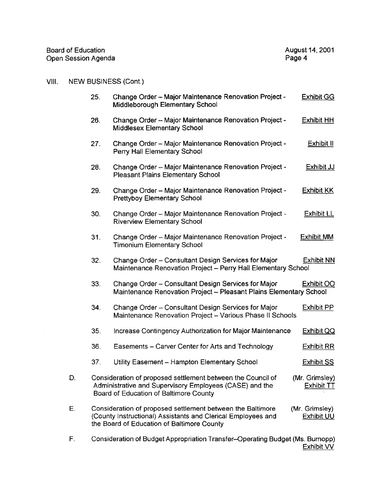| Board of Education  | August 14, 2001 |
|---------------------|-----------------|
| Open Session Agenda | Page 4          |

## VIII. NEW BUSINESS (Cont.)

|    | 25. | Change Order - Major Maintenance Renovation Project -<br>Middleborough Elementary School                                                                                 | <b>Exhibit GG</b>                   |
|----|-----|--------------------------------------------------------------------------------------------------------------------------------------------------------------------------|-------------------------------------|
|    | 26. | Change Order - Major Maintenance Renovation Project -<br><b>Middlesex Elementary School</b>                                                                              | <b>Exhibit HH</b>                   |
|    | 27. | Change Order - Major Maintenance Renovation Project -<br>Perry Hall Elementary School                                                                                    | Exhibit II                          |
|    | 28. | Change Order - Major Maintenance Renovation Project -<br><b>Pleasant Plains Elementary School</b>                                                                        | <b>Exhibit JJ</b>                   |
|    | 29. | Change Order - Major Maintenance Renovation Project -<br><b>Prettyboy Elementary School</b>                                                                              | <b>Exhibit KK</b>                   |
|    | 30. | Change Order - Major Maintenance Renovation Project -<br><b>Riverview Elementary School</b>                                                                              | <b>Exhibit LL</b>                   |
|    | 31. | Change Order - Major Maintenance Renovation Project -<br><b>Timonium Elementary School</b>                                                                               | <b>Exhibit MM</b>                   |
|    | 32. | Change Order - Consultant Design Services for Major<br>Maintenance Renovation Project - Perry Hall Elementary School                                                     | <b>Exhibit NN</b>                   |
|    | 33. | Change Order - Consultant Design Services for Major<br>Maintenance Renovation Project - Pleasant Plains Elementary School                                                | <b>Exhibit OO</b>                   |
|    | 34. | Change Order - Consultant Design Services for Major<br>Maintenance Renovation Project - Various Phase II Schools                                                         | Exhibit PP                          |
|    | 35. | Increase Contingency Authorization for Major Maintenance                                                                                                                 | <b>Exhibit QQ</b>                   |
|    | 36. | Easements - Carver Center for Arts and Technology                                                                                                                        | <b>Exhibit RR</b>                   |
|    | 37. | Utility Easement - Hampton Elementary School                                                                                                                             | <b>Exhibit SS</b>                   |
| D. |     | Consideration of proposed settlement between the Council of<br>Administrative and Supervisory Employees (CASE) and the<br>Board of Education of Baltimore County         | (Mr. Grimsley)<br><b>Exhibit TT</b> |
| Е. |     | Consideration of proposed settlement between the Baltimore<br>(County Instructional) Assistants and Clerical Employees and<br>the Board of Education of Baltimore County | (Mr. Grimsley)<br><b>Exhibit UU</b> |

F. Consideration of Budget Appropriation Transfer–Operating Bu<mark>dget (Ms. Burnopp)</mark> <u>Exhibit VV</u>